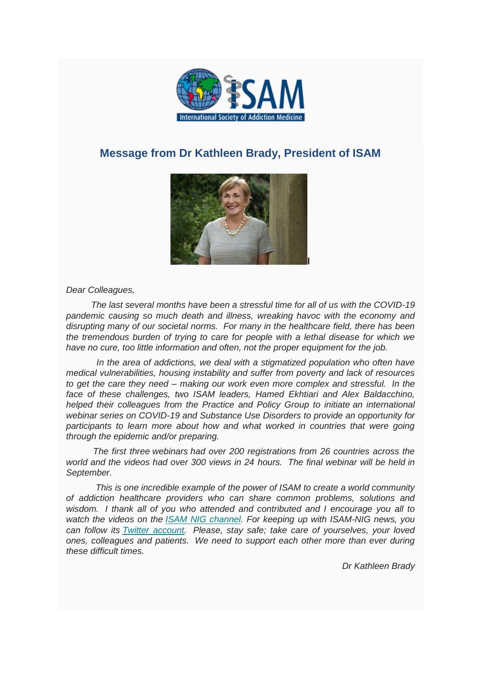

## **Message from Dr Kathleen Brady, President of ISAM**



*Dear Colleagues,*

 *The last several months have been a stressful time for all of us with the COVID-19 pandemic causing so much death and illness, wreaking havoc with the economy and disrupting many of our societal norms. For many in the healthcare field, there has been the tremendous burden of trying to care for people with a lethal disease for which we have no cure, too little information and often, not the proper equipment for the job.*

 *In the area of addictions, we deal with a stigmatized population who often have medical vulnerabilities, housing instability and suffer from poverty and lack of resources to get the care they need – making our work even more complex and stressful. In the face of these challenges, two ISAM leaders, Hamed Ekhtiari and Alex Baldacchino, helped their colleagues from the Practice and Policy Group to initiate an international webinar series on COVID-19 and Substance Use Disorders to provide an opportunity for participants to learn more about how and what worked in countries that were going through the epidemic and/or preparing.*

 *The first three webinars had over 200 registrations from 26 countries across the world and the videos had over 300 views in 24 hours. The final webinar will be held in September.*

 *This is one incredible example of the power of ISAM to create a world community of addiction healthcare providers who can share common problems, solutions and wisdom. I thank all of you who attended and contributed and I encourage you all to watch the videos on the [ISAM NIG channel.](https://www.youtube.com/watch?v=jKcdS8kIyoE) For keeping up with ISAM-NIG news, you can follow its [Twitter account.](https://twitter.com/IsamNig) Please, stay safe; take care of yourselves, your loved ones, colleagues and patients. We need to support each other more than ever during these difficult times.*

*Dr Kathleen Brady*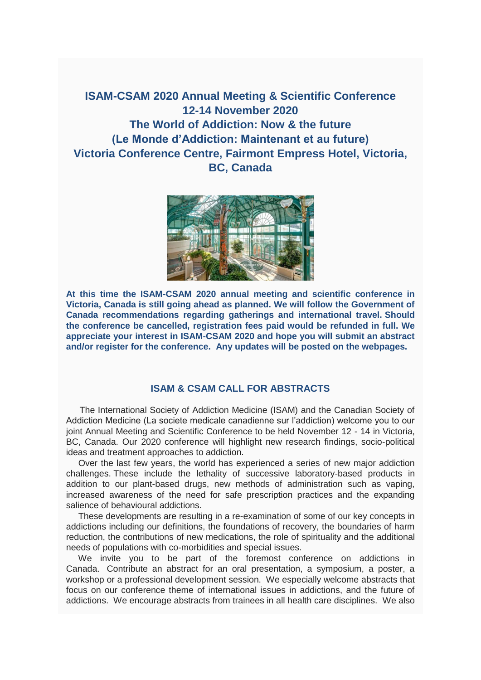**ISAM-CSAM 2020 Annual Meeting & Scientific Conference 12-14 November 2020 The World of Addiction: Now & the future (Le Monde d'Addiction: Maintenant et au future) Victoria Conference Centre, Fairmont Empress Hotel, Victoria, BC, Canada**



**At this time the ISAM-CSAM 2020 annual meeting and scientific conference in Victoria, Canada is still going ahead as planned. We will follow the Government of Canada recommendations regarding gatherings and international travel. Should the conference be cancelled, registration fees paid would be refunded in full. We appreciate your interest in ISAM-CSAM 2020 and hope you will submit an abstract and/or register for the conference. Any updates will be posted on the webpages.**

### **ISAM & CSAM CALL FOR ABSTRACTS**

 The International Society of Addiction Medicine (ISAM) and the Canadian Society of Addiction Medicine (La societe medicale canadienne sur l'addiction) welcome you to our joint Annual Meeting and Scientific Conference to be held November 12 - 14 in Victoria, BC, Canada. Our 2020 conference will highlight new research findings, socio-political ideas and treatment approaches to addiction.

 Over the last few years, the world has experienced a series of new major addiction challenges. These include the lethality of successive laboratory-based products in addition to our plant-based drugs, new methods of administration such as vaping, increased awareness of the need for safe prescription practices and the expanding salience of behavioural addictions.

 These developments are resulting in a re-examination of some of our key concepts in addictions including our definitions, the foundations of recovery, the boundaries of harm reduction, the contributions of new medications, the role of spirituality and the additional needs of populations with co-morbidities and special issues.

 We invite you to be part of the foremost conference on addictions in Canada. Contribute an abstract for an oral presentation, a symposium, a poster, a workshop or a professional development session. We especially welcome abstracts that focus on our conference theme of international issues in addictions, and the future of addictions. We encourage abstracts from trainees in all health care disciplines. We also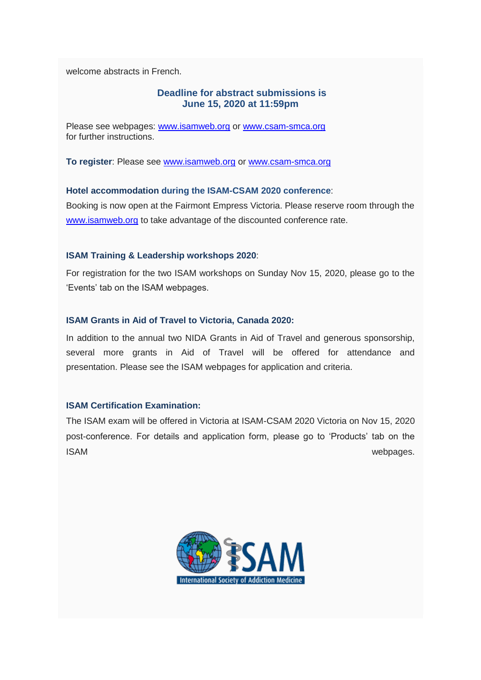welcome abstracts in French.

### **Deadline for abstract submissions is June 15, 2020 at 11:59pm**

Please see webpages: [www.isamweb.org](http://www.isamweb.org/) or [www.csam-smca.org](http://www.csam-smca.org/) for further instructions.

**To register**: Please see [www.isamweb.org](http://www.isamweb.org/) or [www.csam-smca.org](http://www.csam-smca.org/)

### **Hotel accommodation during the ISAM-CSAM 2020 conference**:

Booking is now open at the Fairmont Empress Victoria. Please reserve room through the [www.isamweb.org](http://www.isamweb.org/) to take advantage of the discounted conference rate.

### **ISAM Training & Leadership workshops 2020**:

For registration for the two ISAM workshops on Sunday Nov 15, 2020, please go to the 'Events' tab on the ISAM webpages.

### **ISAM Grants in Aid of Travel to Victoria, Canada 2020:**

In addition to the annual two NIDA Grants in Aid of Travel and generous sponsorship, several more grants in Aid of Travel will be offered for attendance and presentation. Please see the ISAM webpages for application and criteria.

### **ISAM Certification Examination:**

The ISAM exam will be offered in Victoria at ISAM-CSAM 2020 Victoria on Nov 15, 2020 post-conference. For details and application form, please go to 'Products' tab on the ISAM webpages.

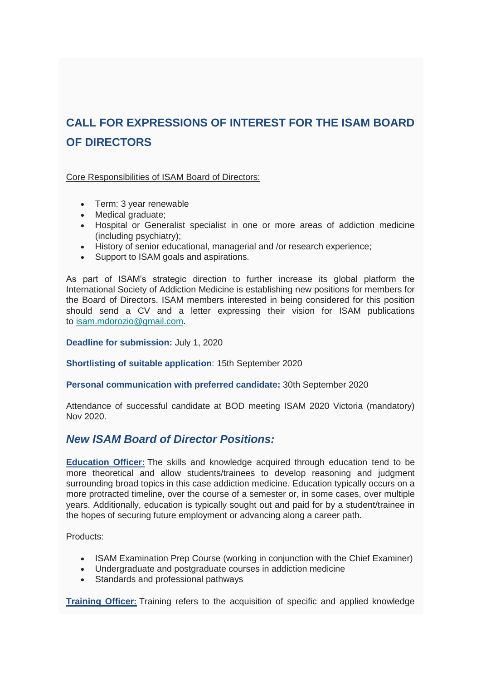## **CALL FOR EXPRESSIONS OF INTEREST FOR THE ISAM BOARD OF DIRECTORS**

Core Responsibilities of ISAM Board of Directors:

- Term: 3 year renewable
- Medical graduate;
- Hospital or Generalist specialist in one or more areas of addiction medicine (including psychiatry);
- History of senior educational, managerial and /or research experience;
- Support to ISAM goals and aspirations.

As part of ISAM's strategic direction to further increase its global platform the International Society of Addiction Medicine is establishing new positions for members for the Board of Directors. ISAM members interested in being considered for this position should send a CV and a letter expressing their vision for ISAM publications to [isam.mdorozio@gmail.com.](mailto:isam.mdorozio@gmail.com)

**Deadline for submission:** July 1, 2020

**Shortlisting of suitable application**: 15th September 2020

**Personal communication with preferred candidate:** 30th September 2020

Attendance of successful candidate at BOD meeting ISAM 2020 Victoria (mandatory) Nov 2020.

## *New ISAM Board of Director Positions:*

**Education Officer:** The skills and knowledge acquired through education tend to be more theoretical and allow students/trainees to develop reasoning and judgment surrounding broad topics in this case addiction medicine. Education typically occurs on a more protracted timeline, over the course of a semester or, in some cases, over multiple years. Additionally, education is typically sought out and paid for by a student/trainee in the hopes of securing future employment or advancing along a career path.

Products:

- ISAM Examination Prep Course (working in conjunction with the Chief Examiner)
- Undergraduate and postgraduate courses in addiction medicine
- Standards and professional pathways

**Training Officer:** Training refers to the acquisition of specific and applied knowledge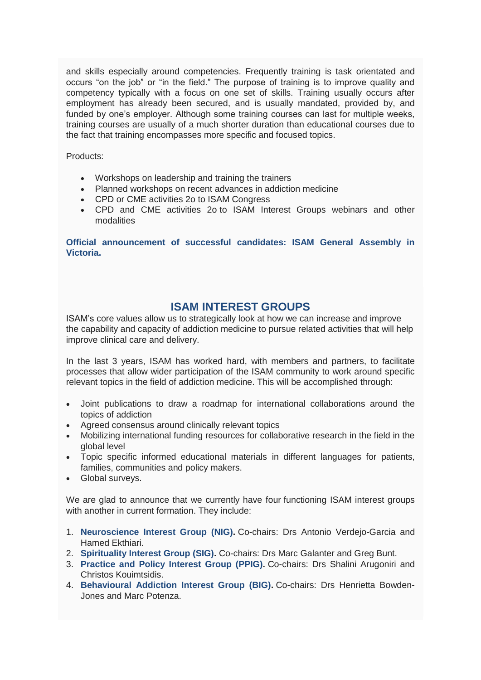and skills especially around competencies. Frequently training is task orientated and occurs "on the job" or "in the field." The purpose of training is to improve quality and competency typically with a focus on one set of skills. Training usually occurs after employment has already been secured, and is usually mandated, provided by, and funded by one's employer. Although some training courses can last for multiple weeks, training courses are usually of a much shorter duration than educational courses due to the fact that training encompasses more specific and focused topics.

Products:

- Workshops on leadership and training the trainers
- Planned workshops on recent advances in addiction medicine
- CPD or CME activities 2o to ISAM Congress
- CPD and CME activities 2o to ISAM Interest Groups webinars and other modalities

**Official announcement of successful candidates: ISAM General Assembly in Victoria.**

### **ISAM INTEREST GROUPS**

ISAM's core values allow us to strategically look at how we can increase and improve the capability and capacity of addiction medicine to pursue related activities that will help improve clinical care and delivery.

In the last 3 years, ISAM has worked hard, with members and partners, to facilitate processes that allow wider participation of the ISAM community to work around specific relevant topics in the field of addiction medicine. This will be accomplished through:

- Joint publications to draw a roadmap for international collaborations around the topics of addiction
- Agreed consensus around clinically relevant topics
- Mobilizing international funding resources for collaborative research in the field in the global level
- Topic specific informed educational materials in different languages for patients, families, communities and policy makers.
- Global surveys.

We are glad to announce that we currently have four functioning ISAM interest groups with another in current formation. They include:

- 1. **Neuroscience Interest Group (NIG).** Co-chairs: Drs Antonio Verdejo-Garcia and Hamed Ekthiari.
- 2. **Spirituality Interest Group (SIG).** Co-chairs: Drs Marc Galanter and Greg Bunt.
- 3. **Practice and Policy Interest Group (PPIG).** Co-chairs: Drs Shalini Arugoniri and Christos Kouimtsidis.
- 4. **Behavioural Addiction Interest Group (BIG).** Co-chairs: Drs Henrietta Bowden-Jones and Marc Potenza.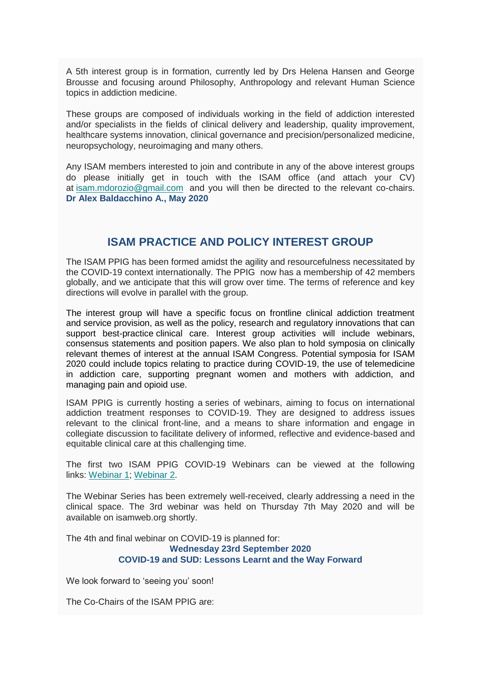A 5th interest group is in formation, currently led by Drs Helena Hansen and George Brousse and focusing around Philosophy, Anthropology and relevant Human Science topics in addiction medicine.

These groups are composed of individuals working in the field of addiction interested and/or specialists in the fields of clinical delivery and leadership, quality improvement, healthcare systems innovation, clinical governance and precision/personalized medicine, neuropsychology, neuroimaging and many others.

Any ISAM members interested to join and contribute in any of the above interest groups do please initially get in touch with the ISAM office (and attach your CV) at [isam.mdorozio@gmail.com](mailto:isam.mdorozio@gmail.com) and you will then be directed to the relevant co-chairs. **Dr Alex Baldacchino A., May 2020**

## **ISAM PRACTICE AND POLICY INTEREST GROUP**

The ISAM PPIG has been formed amidst the agility and resourcefulness necessitated by the COVID-19 context internationally. The PPIG now has a membership of 42 members globally, and we anticipate that this will grow over time. The terms of reference and key directions will evolve in parallel with the group.

The interest group will have a specific focus on frontline clinical addiction treatment and service provision, as well as the policy, research and regulatory innovations that can support best-practice clinical care. Interest group activities will include webinars, consensus statements and position papers. We also plan to hold symposia on clinically relevant themes of interest at the annual ISAM Congress. Potential symposia for ISAM 2020 could include topics relating to practice during COVID-19, the use of telemedicine in addiction care, supporting pregnant women and mothers with addiction, and managing pain and opioid use.

ISAM PPIG is currently hosting a series of webinars, aiming to focus on international addiction treatment responses to COVID-19. They are designed to address issues relevant to the clinical front-line, and a means to share information and engage in collegiate discussion to facilitate delivery of informed, reflective and evidence-based and equitable clinical care at this challenging time.

The first two ISAM PPIG COVID-19 Webinars can be viewed at the following links: [Webinar 1;](https://youtu.be/XROBO0YD-HQ) [Webinar 2.](https://youtu.be/DHi7948klyA)

The Webinar Series has been extremely well-received, clearly addressing a need in the clinical space. The 3rd webinar was held on Thursday 7th May 2020 and will be available on isamweb.org shortly.

The 4th and final webinar on COVID-19 is planned for: **Wednesday 23rd September 2020 COVID-19 and SUD: Lessons Learnt and the Way Forward**

We look forward to 'seeing you' soon!

The Co-Chairs of the ISAM PPIG are: